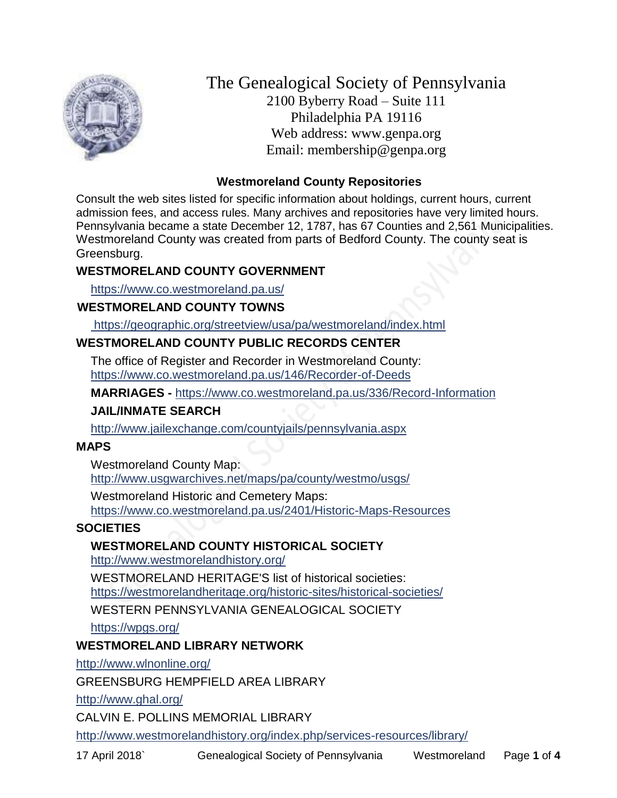

The Genealogical Society of Pennsylvania 2100 Byberry Road – Suite 111 Philadelphia PA 19116 Web address: www.genpa.org Email: membership@genpa.org

### **Westmoreland County Repositories**

Consult the web sites listed for specific information about holdings, current hours, current admission fees, and access rules. Many archives and repositories have very limited hours. Pennsylvania became a state December 12, 1787, has 67 Counties and 2,561 Municipalities. Westmoreland County was created from parts of Bedford County. The county seat is Greensburg.

### **WESTMORELAND COUNTY GOVERNMENT**

<https://www.co.westmoreland.pa.us/>

# **WESTMORELAND COUNTY TOWNS**

<https://geographic.org/streetview/usa/pa/westmoreland/index.html>

# **WESTMORELAND COUNTY PUBLIC RECORDS CENTER**

The office of Register and Recorder in Westmoreland County: <https://www.co.westmoreland.pa.us/146/Recorder-of-Deeds>

**MARRIAGES -** <https://www.co.westmoreland.pa.us/336/Record-Information>

# **JAIL/INMATE SEARCH**

<http://www.jailexchange.com/countyjails/pennsylvania.aspx>

### **MAPS**

Westmoreland County Map: <http://www.usgwarchives.net/maps/pa/county/westmo/usgs/>

Westmoreland Historic and Cemetery Maps: <https://www.co.westmoreland.pa.us/2401/Historic-Maps-Resources>

# **SOCIETIES**

# **WESTMORELAND COUNTY HISTORICAL SOCIETY**

<http://www.westmorelandhistory.org/>

WESTMORELAND HERITAGE'S list of historical societies:

<https://westmorelandheritage.org/historic-sites/historical-societies/>

WESTERN PENNSYLVANIA GENEALOGICAL SOCIETY

<https://wpgs.org/>

# **WESTMORELAND LIBRARY NETWORK**

<http://www.wlnonline.org/>

GREENSBURG HEMPFIELD AREA LIBRARY

<http://www.ghal.org/>

CALVIN E. POLLINS MEMORIAL LIBRARY

<http://www.westmorelandhistory.org/index.php/services-resources/library/>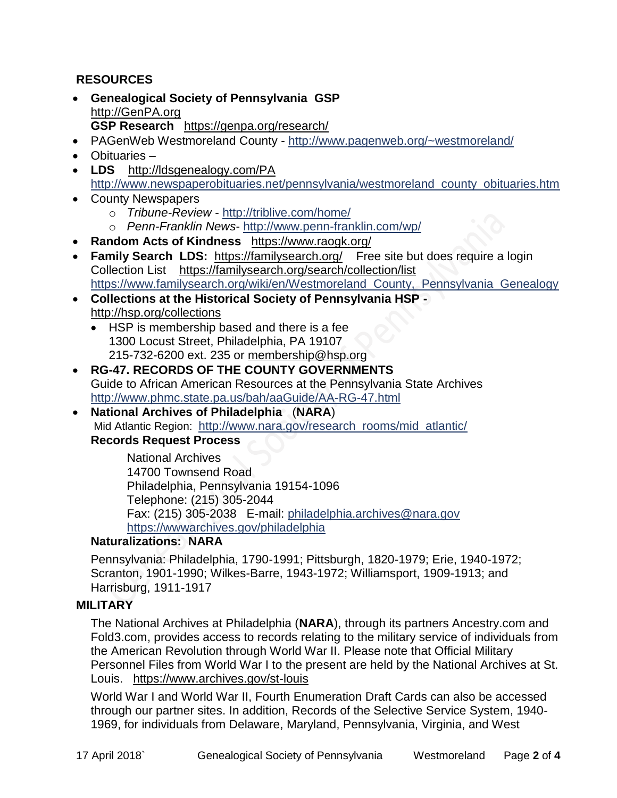# **RESOURCES**

- **Genealogical Society of Pennsylvania GSP** [http://GenPA.org](http://genpa.org/) **GSP Research** <https://genpa.org/research/>
- PAGenWeb Westmoreland County <http://www.pagenweb.org/~westmoreland/>
- Obituaries –
- **LDS** <http://ldsgenealogy.com/PA> [http://www.newspaperobituaries.net/pennsylvania/westmoreland\\_county\\_obituaries.htm](http://www.newspaperobituaries.net/pennsylvania/westmoreland_county_obituaries.htm)
- County Newspapers
	- o *Tribune-Review* <http://triblive.com/home/>
	- o *Penn-Franklin News* <http://www.penn-franklin.com/wp/>
- **Random Acts of Kindness** <https://www.raogk.org/>
- **Family Search LDS:** <https://familysearch.org/>Free site but does require a login Collection List <https://familysearch.org/search/collection/list> https://www.familysearch.org/wiki/en/Westmoreland County, Pennsylvania Genealogy
- **Collections at the Historical Society of Pennsylvania HSP**  <http://hsp.org/collections>
	- HSP is membership based and there is a fee 1300 Locust Street, Philadelphia, PA 19107 215-732-6200 ext. 235 or [membership@hsp.org](mailto:membership@hsp.org)
- **RG-47. RECORDS OF THE COUNTY GOVERNMENTS** Guide to African American Resources at the Pennsylvania State Archives <http://www.phmc.state.pa.us/bah/aaGuide/AA-RG-47.html>
- **National Archives of Philadelphia** (**NARA**) Mid Atlantic Region: [http://www.nara.gov/research\\_rooms/mid\\_atlantic/](http://www.nara.gov/research_rooms/mid_atlantic/) **Records Request Process**

National Archives 14700 Townsend Road Philadelphia, Pennsylvania 19154-1096 Telephone: (215) 305-2044 Fax: (215) 305-2038 E-mail: [philadelphia.archives@nara.gov](mailto:philadelphia.archives@nara.gov) <https://wwwarchives.gov/philadelphia>

### **Naturalizations: NARA**

Pennsylvania: Philadelphia, 1790-1991; Pittsburgh, 1820-1979; Erie, 1940-1972; Scranton, 1901-1990; Wilkes-Barre, 1943-1972; Williamsport, 1909-1913; and Harrisburg, 1911-1917

### **MILITARY**

The National Archives at Philadelphia (**NARA**), through its partners Ancestry.com and Fold3.com, provides access to records relating to the military service of individuals from the American Revolution through World War II. Please note that Official Military Personnel Files from World War I to the present are held by the National Archives at St. Louis. <https://www.archives.gov/st-louis>

World War I and World War II, Fourth Enumeration Draft Cards can also be accessed through our partner sites. In addition, Records of the Selective Service System, 1940- 1969, for individuals from Delaware, Maryland, Pennsylvania, Virginia, and West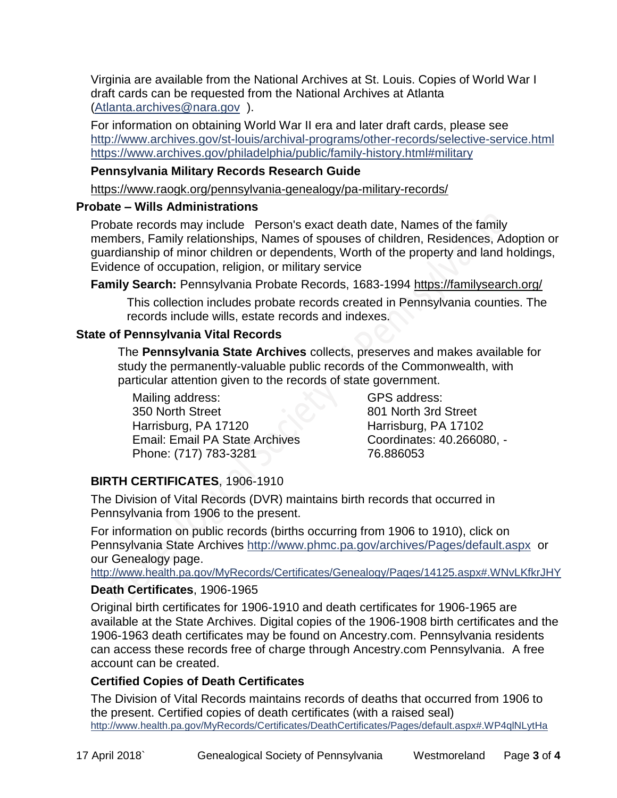Virginia are available from the National Archives at St. Louis. Copies of World War I draft cards can be requested from the National Archives at Atlanta [\(Atlanta.archives@nara.gov](mailto:Atlanta.archives@nara.gov) ).

For information on obtaining World War II era and later draft cards, please see <http://www.archives.gov/st-louis/archival-programs/other-records/selective-service.html> <https://www.archives.gov/philadelphia/public/family-history.html#military>

# **Pennsylvania Military Records Research Guide**

<https://www.raogk.org/pennsylvania-genealogy/pa-military-records/>

### **Probate – Wills Administrations**

Probate records may include Person's exact death date, Names of the family members, Family relationships, Names of spouses of children, Residences, Adoption or guardianship of minor children or dependents, Worth of the property and land holdings, Evidence of occupation, religion, or military service

**Family Search:** Pennsylvania Probate Records, 1683-1994 <https://familysearch.org/>

This collection includes probate records created in Pennsylvania counties. The records include wills, estate records and indexes.

# **State of Pennsylvania Vital Records**

The **Pennsylvania State Archives** collects, preserves and makes available for study the permanently-valuable public records of the Commonwealth, with particular attention given to the records of state government.

Mailing address: 350 North Street Harrisburg, PA 17120 Email: Email PA State Archives Phone: (717) 783-3281

GPS address: 801 North 3rd Street Harrisburg, PA 17102 Coordinates: 40.266080, - 76.886053

# **BIRTH CERTIFICATES**, 1906-1910

The Division of Vital Records (DVR) maintains birth records that occurred in Pennsylvania from 1906 to the present.

For information on public records (births occurring from 1906 to 1910), click on Pennsylvania State Archives <http://www.phmc.pa.gov/archives/Pages/default.aspx>or our Genealogy page.

<http://www.health.pa.gov/MyRecords/Certificates/Genealogy/Pages/14125.aspx#.WNvLKfkrJHY>

# **Death Certificates**, 1906-1965

Original birth certificates for 1906-1910 and death certificates for 1906-1965 are available at the State Archives. Digital copies of the 1906-1908 birth certificates and the 1906-1963 death certificates may be found on Ancestry.com. Pennsylvania residents can access these records free of charge through Ancestry.com Pennsylvania. A free account can be created.

# **Certified Copies of Death Certificates**

The Division of Vital Records maintains records of deaths that occurred from 1906 to the present. Certified copies of death certificates (with a raised seal) <http://www.health.pa.gov/MyRecords/Certificates/DeathCertificates/Pages/default.aspx#.WP4qlNLytHa>